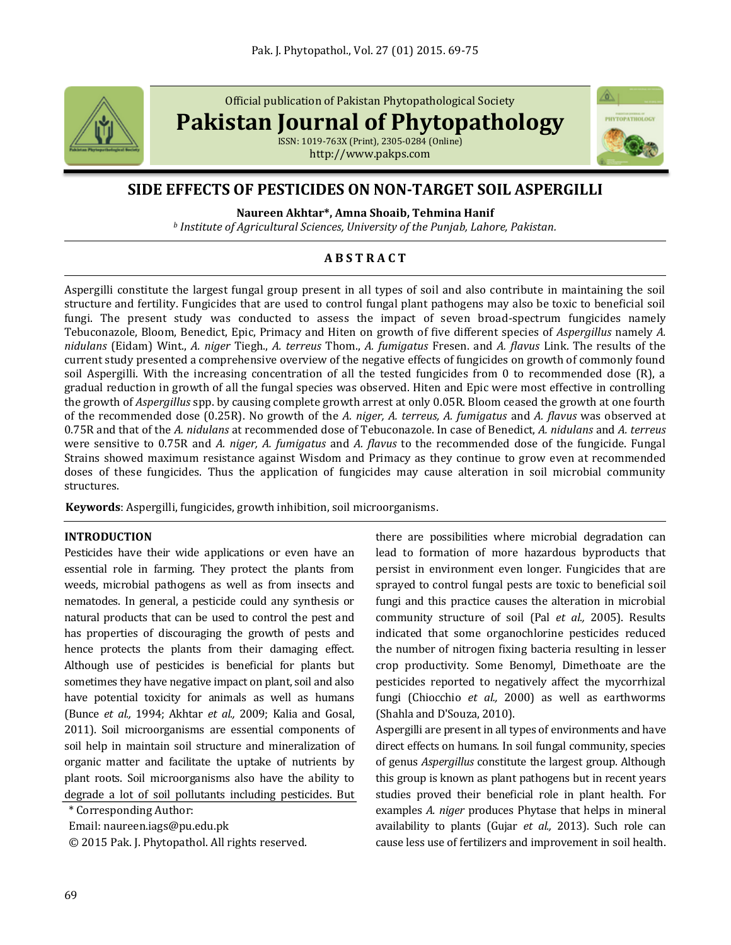

Official publication of Pakistan Phytopathological Society

**Pakistan Journal of Phytopathology**

ISSN: 1019-763X (Print), 2305-0284 (Online) http://www.pakps.com



# **SIDE EFFECTS OF PESTICIDES ON NON-TARGET SOIL ASPERGILLI**

**Naureen Akhtar\*, Amna Shoaib, Tehmina Hanif**

*<sup>b</sup> Institute of Agricultural Sciences, University of the Punjab, Lahore, Pakistan.*

# **A B S T R A C T**

Aspergilli constitute the largest fungal group present in all types of soil and also contribute in maintaining the soil structure and fertility. Fungicides that are used to control fungal plant pathogens may also be toxic to beneficial soil fungi. The present study was conducted to assess the impact of seven broad-spectrum fungicides namely Tebuconazole, Bloom, Benedict, Epic, Primacy and Hiten on growth of five different species of *Aspergillus* namely *A. nidulans* (Eidam) Wint., *A. niger* Tiegh., *A. terreus* Thom., *A. fumigatus* Fresen. and *A. flavus* Link. The results of the current study presented a comprehensive overview of the negative effects of fungicides on growth of commonly found soil Aspergilli. With the increasing concentration of all the tested fungicides from 0 to recommended dose (R), a gradual reduction in growth of all the fungal species was observed. Hiten and Epic were most effective in controlling the growth of *Aspergillus* spp. by causing complete growth arrest at only 0.05R. Bloom ceased the growth at one fourth of the recommended dose (0.25R). No growth of the *A. niger, A. terreus, A. fumigatus* and *A. flavus* was observed at 0.75R and that of the *A. nidulans* at recommended dose of Tebuconazole. In case of Benedict, *A. nidulans* and *A. terreus* were sensitive to 0.75R and *A. niger, A. fumigatus* and *A. flavus* to the recommended dose of the fungicide. Fungal Strains showed maximum resistance against Wisdom and Primacy as they continue to grow even at recommended doses of these fungicides. Thus the application of fungicides may cause alteration in soil microbial community structures.

**Keywords**: Aspergilli, fungicides, growth inhibition, soil microorganisms.

## **INTRODUCTION**

Pesticides have their wide applications or even have an essential role in farming. They protect the plants from [weeds,](http://en.wikipedia.org/wiki/Weed) microbial pathogens as well as from insects and nematodes. In general, a pesticide could any synthesis or natural products that can be used to control the pest and has properties of discouraging the growth of pests and hence protects the plants from their damaging effect. Although use of pesticides is beneficial for plants but sometimes they have negative impact on plant, soil and also have potential toxicity for animals as well as humans (Bunce *et al.,* 1994; Akhtar *et al.,* 2009; Kalia and Gosal, 2011). Soil microorganisms are essential components of soil help in maintain soil structure and mineralization of organic matter and facilitate the uptake of nutrients by plant roots. Soil microorganisms also have the ability to degrade a lot of soil pollutants including pesticides. But

\* Corresponding Author:

Email: naureen.iags@pu.edu.pk

© 2015 Pak. J. Phytopathol. All rights reserved.

there are possibilities where microbial degradation can lead to formation of more hazardous byproducts that persist in environment even longer. Fungicides that are sprayed to control fungal pests are toxic to beneficial soil fungi and this practice causes the alteration in microbial community structure of soil (Pal *et al.,* 2005). Results indicated that some organochlorine pesticides reduced the number of nitrogen fixing bacteria resulting in lesser crop productivity. Some Benomyl, Dimethoate are the pesticides reported to negatively affect the mycorrhizal fungi (Chiocchio *et al.,* 2000) as well as earthworms (Shahla and D'Souza, 2010).

Aspergilli are present in all types of environments and have direct effects on humans. In soil fungal community, species of genus *Aspergillus* constitute the largest group. Although this group is known as plant pathogens but in recent years studies proved their beneficial role in plant health. For examples *A. niger* produces Phytase that helps in mineral availability to plants (Gujar *et al.,* 2013). Such role can cause less use of fertilizers and improvement in soil health.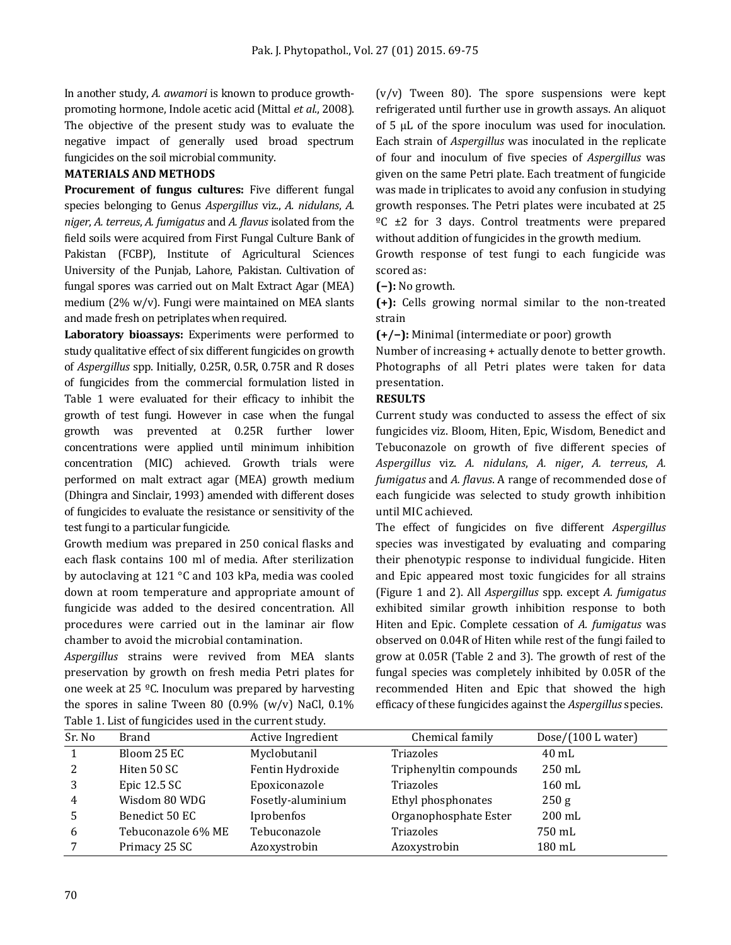In another study, *A. awamori* is known to produce growthpromoting hormone, Indole acetic acid (Mittal *et al*., 2008). The objective of the present study was to evaluate the negative impact of generally used broad spectrum fungicides on the soil microbial community.

# **MATERIALS AND METHODS**

**Procurement of fungus cultures:** Five different fungal species belonging to Genus *Aspergillus* viz., *A. nidulans*, *A. niger*, *A. terreus*, *A. fumigatus* and *A. flavus* isolated from the field soils were acquired from First Fungal Culture Bank of Pakistan (FCBP), Institute of Agricultural Sciences University of the Punjab, Lahore, Pakistan. Cultivation of fungal spores was carried out on Malt Extract Agar (MEA) medium (2% w/v). Fungi were maintained on MEA slants and made fresh on petriplates when required.

**Laboratory bioassays:** Experiments were performed to study qualitative effect of six different fungicides on growth of *Aspergillus* spp. Initially, 0.25R, 0.5R, 0.75R and R doses of fungicides from the commercial formulation listed in Table 1 were evaluated for their efficacy to inhibit the growth of test fungi. However in case when the fungal growth was prevented at 0.25R further lower concentrations were applied until minimum inhibition concentration (MIC) achieved. Growth trials were performed on malt extract agar (MEA) growth medium (Dhingra and Sinclair, 1993) amended with different doses of fungicides to evaluate the resistance or sensitivity of the test fungi to a particular fungicide.

Growth medium was prepared in 250 conical flasks and each flask contains 100 ml of media. After sterilization by autoclaving at 121 °C and 103 kPa, media was cooled down at room temperature and appropriate amount of fungicide was added to the desired concentration. All procedures were carried out in the laminar air flow chamber to avoid the microbial contamination.

*Aspergillus* strains were revived from MEA slants preservation by growth on fresh media Petri plates for one week at 25 ºC. Inoculum was prepared by harvesting the spores in saline Tween 80  $(0.9\%$  (w/v) NaCl,  $0.1\%$ Table 1. List of fungicides used in the current study.

 $(v/v)$  Tween 80). The spore suspensions were kept refrigerated until further use in growth assays. An aliquot of 5 µL of the spore inoculum was used for inoculation. Each strain of *Aspergillus* was inoculated in the replicate of four and inoculum of five species of *Aspergillus* was given on the same Petri plate. Each treatment of fungicide was made in triplicates to avoid any confusion in studying growth responses. The Petri plates were incubated at 25  $°C \pm 2$  for 3 days. Control treatments were prepared without addition of fungicides in the growth medium.

Growth response of test fungi to each fungicide was scored as:

**(−):** No growth.

**(+):** Cells growing normal similar to the non-treated strain

**(+/−):** Minimal (intermediate or poor) growth

Number of increasing + actually denote to better growth. Photographs of all Petri plates were taken for data presentation.

#### **RESULTS**

Current study was conducted to assess the effect of six fungicides viz. Bloom, Hiten, Epic, Wisdom, Benedict and Tebuconazole on growth of five different species of *Aspergillus* viz. *A. nidulans*, *A. niger*, *A. terreus*, *A. fumigatus* and *A. flavus*. A range of recommended dose of each fungicide was selected to study growth inhibition until MIC achieved.

The effect of fungicides on five different *Aspergillus* species was investigated by evaluating and comparing their phenotypic response to individual fungicide. Hiten and Epic appeared most toxic fungicides for all strains (Figure 1 and 2). All *Aspergillus* spp. except *A. fumigatus*  exhibited similar growth inhibition response to both Hiten and Epic. Complete cessation of *A. fumigatus* was observed on 0.04R of Hiten while rest of the fungi failed to grow at 0.05R (Table 2 and 3). The growth of rest of the fungal species was completely inhibited by 0.05R of the recommended Hiten and Epic that showed the high efficacy of these fungicides against the *Aspergillus* species.

| Sr. No | <b>Brand</b>       | Active Ingredient | Chemical family        | Dose/(100 L water) |
|--------|--------------------|-------------------|------------------------|--------------------|
|        | Bloom 25 EC        | Myclobutanil      | Triazoles              | $40 \text{ mL}$    |
| 2      | Hiten 50 SC        | Fentin Hydroxide  | Triphenyltin compounds | $250 \text{ mL}$   |
| 3      | Epic $12.5$ SC     | Epoxiconazole     | Triazoles              | $160$ mL           |
| 4      | Wisdom 80 WDG      | Fosetly-aluminium | Ethyl phosphonates     | 250 g              |
|        | Benedict 50 EC     | Iprobenfos        | Organophosphate Ester  | $200$ mL           |
| 6      | Tebuconazole 6% ME | Tebuconazole      | Triazoles              | 750 mL             |
|        | Primacy 25 SC      | Azoxystrobin      | Azoxystrobin           | 180 mL             |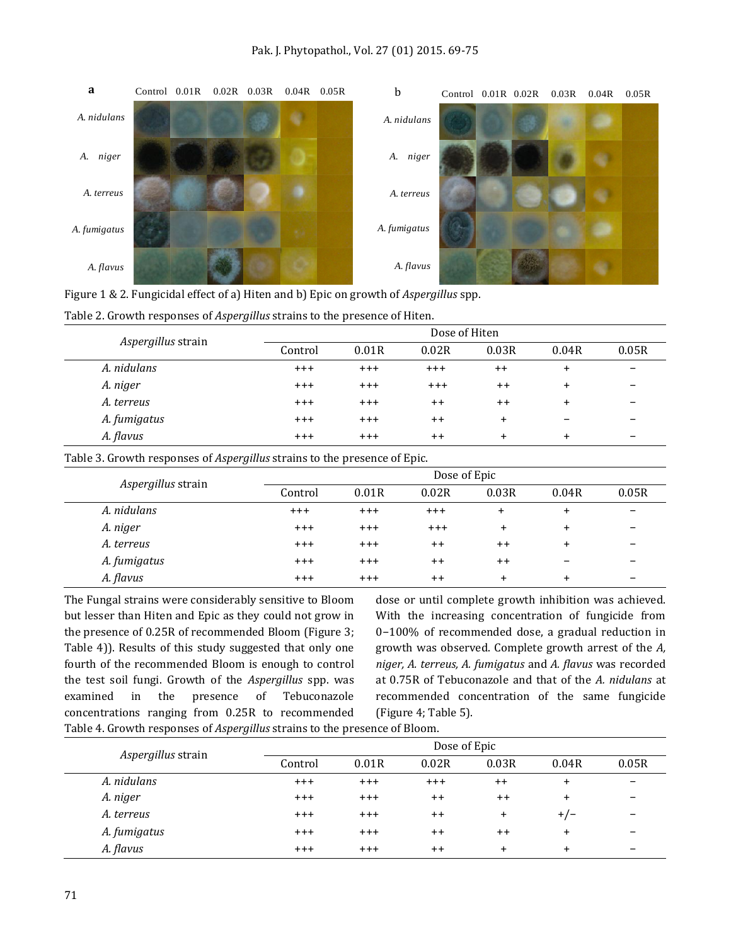

|  |  | Figure 1 & 2. Fungicidal effect of a) Hiten and b) Epic on growth of Aspergillus spp. |
|--|--|---------------------------------------------------------------------------------------|
|  |  |                                                                                       |

| Aspergillus strain |         | Dose of Hiten |         |           |                          |                          |  |  |
|--------------------|---------|---------------|---------|-----------|--------------------------|--------------------------|--|--|
|                    | Control | 0.01R         | 0.02R   | 0.03R     | 0.04R                    | 0.05R                    |  |  |
| A. nidulans        | $+ + +$ | $^{+++}$      | $+++$   | $++$      | $\ddot{}$                | $\overline{\phantom{m}}$ |  |  |
| A. niger           | $+ + +$ | $^{+++}$      | $+ + +$ | $++$      | $\ddot{}$                | $\overline{\phantom{0}}$ |  |  |
| A. terreus         | $+ + +$ | $^{+++}$      | $^{++}$ | $++$      | $\ddot{}$                | $\overline{\phantom{m}}$ |  |  |
| A. fumigatus       | $+ + +$ | $^{+++}$      | $++$    | $\ddot{}$ | $\overline{\phantom{m}}$ |                          |  |  |
| A. flavus          | $+ + +$ | $+ + +$       | $++$    | $\ddot{}$ | $\ddot{}$                |                          |  |  |

# Table 2. Growth responses of *Aspergillus* strains to the presence of Hiten.

Table 3. Growth responses of *Aspergillus* strains to the presence of Epic.

|                    | Dose of Epic |          |          |           |                          |                          |  |  |
|--------------------|--------------|----------|----------|-----------|--------------------------|--------------------------|--|--|
| Aspergillus strain | Control      | 0.01R    | 0.02R    | 0.03R     | 0.04R                    | 0.05R                    |  |  |
| A. nidulans        | $^{+++}$     | $^{+++}$ | $^{+++}$ | $\ddot{}$ | $\ddot{}$                | $\overline{\phantom{0}}$ |  |  |
| A. niger           | $^{+++}$     | $^{+++}$ | $+ + +$  | $\ddot{}$ | $\ddot{}$                |                          |  |  |
| A. terreus         | $+ + +$      | $^{+++}$ | $++$     | $++$      | $\ddot{}$                |                          |  |  |
| A. fumigatus       | $+ + +$      | $^{+++}$ | $++$     | $++$      | $\overline{\phantom{0}}$ |                          |  |  |
| A. flavus          | $+ + +$      | $+ + +$  | $++$     | $\ddot{}$ | $\ddot{}$                |                          |  |  |

The Fungal strains were considerably sensitive to Bloom but lesser than Hiten and Epic as they could not grow in the presence of 0.25R of recommended Bloom (Figure 3; Table 4)). Results of this study suggested that only one fourth of the recommended Bloom is enough to control the test soil fungi. Growth of the *Aspergillus* spp. was examined in the presence of Tebuconazole concentrations ranging from 0.25R to recommended Table 4. Growth responses of *Aspergillus* strains to the presence of Bloom.

dose or until complete growth inhibition was achieved. With the increasing concentration of fungicide from 0−100% of recommended dose, a gradual reduction in growth was observed. Complete growth arrest of the *A, niger, A. terreus, A. fumigatus* and *A. flavus* was recorded at 0.75R of Tebuconazole and that of the *A. nidulans* at recommended concentration of the same fungicide (Figure 4; Table 5).

|                    |          | Dose of Epic |         |           |           |                          |  |  |
|--------------------|----------|--------------|---------|-----------|-----------|--------------------------|--|--|
| Aspergillus strain | Control  | 0.01R        | 0.02R   | 0.03R     | 0.04R     | 0.05R                    |  |  |
| A. nidulans        | $^{+++}$ | $^{+++}$     | $+ + +$ | $++$      | $\ddot{}$ | $\overline{\phantom{a}}$ |  |  |
| A. niger           | $^{+++}$ | $^{+++}$     | $++$    | $++$      | $\ddot{}$ | $\overline{\phantom{0}}$ |  |  |
| A. terreus         | $^{+++}$ | $^{+++}$     | $++$    | $\ddot{}$ | $+/-$     | $\overline{\phantom{0}}$ |  |  |
| A. fumigatus       | $+ + +$  | $+ + +$      | $++$    | $++$      | $\ddot{}$ | $\overline{\phantom{a}}$ |  |  |
| A. flavus          | $+ + +$  | $+ + +$      | $++$    | $\ddot{}$ | $\ddot{}$ |                          |  |  |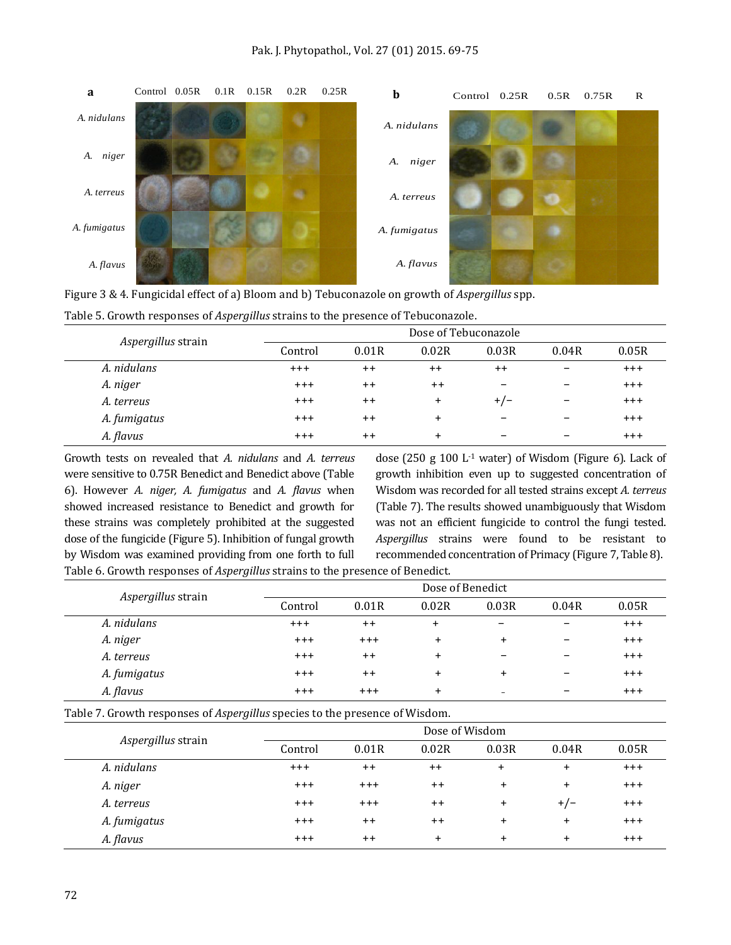

| Figure 3 & 4. Fungicidal effect of a) Bloom and b) Tebuconazole on growth of Aspergillus spp. |  |  |  |  |
|-----------------------------------------------------------------------------------------------|--|--|--|--|
|-----------------------------------------------------------------------------------------------|--|--|--|--|

|                    |          | Dose of Tebuconazole |           |                          |                          |         |  |  |
|--------------------|----------|----------------------|-----------|--------------------------|--------------------------|---------|--|--|
| Aspergillus strain | Control  | 0.01R                | 0.02R     | 0.03R                    | 0.04R                    | 0.05R   |  |  |
| A. nidulans        | $+ + +$  | $^{++}$              | $^{++}$   | $++$                     | $\overline{\phantom{m}}$ | $+ + +$ |  |  |
| A. niger           | $+ + +$  | $++$                 | $++$      |                          | $\overline{\phantom{m}}$ | $+ + +$ |  |  |
| A. terreus         | $^{+++}$ | $^{++}$              | $\ddot{}$ | $+/-$                    | $\overline{\phantom{m}}$ | $+ + +$ |  |  |
| A. fumigatus       | $+ + +$  | $^{++}$              | $\ddot{}$ |                          | $\overline{\phantom{m}}$ | $+ + +$ |  |  |
| A. flavus          | $+ + +$  | $++$                 | $\pmb{+}$ | $\overline{\phantom{a}}$ | $\overline{\phantom{m}}$ | $+ + +$ |  |  |

|  |  |  |  |  | Table 5. Growth responses of Aspergillus strains to the presence of Tebuconazole. |  |
|--|--|--|--|--|-----------------------------------------------------------------------------------|--|
|--|--|--|--|--|-----------------------------------------------------------------------------------|--|

Growth tests on revealed that *A. nidulans* and *A. terreus* were sensitive to 0.75R Benedict and Benedict above (Table 6). However *A. niger, A. fumigatus* and *A. flavus* when showed increased resistance to Benedict and growth for these strains was completely prohibited at the suggested dose of the fungicide (Figure 5). Inhibition of fungal growth by Wisdom was examined providing from one forth to full Table 6. Growth responses of *Aspergillus* strains to the presence of Benedict.

dose (250 g 100  $L$ <sup>1</sup> water) of Wisdom (Figure 6). Lack of growth inhibition even up to suggested concentration of Wisdom was recorded for all tested strains except *A. terreus*  (Table 7). The results showed unambiguously that Wisdom was not an efficient fungicide to control the fungi tested. *Aspergillus* strains were found to be resistant to recommended concentration of Primacy (Figure 7, Table 8).

|                    |          | Dose of Benedict |           |                          |                          |          |  |  |
|--------------------|----------|------------------|-----------|--------------------------|--------------------------|----------|--|--|
| Aspergillus strain | Control  | 0.01R            | 0.02R     | 0.03R                    | 0.04R                    | 0.05R    |  |  |
| A. nidulans        | $^{+++}$ | $++$             | $\pmb{+}$ | -                        | $\overline{\phantom{m}}$ | $+ + +$  |  |  |
| A. niger           | $+ + +$  | $+ + +$          | $\ddot{}$ | $\ddot{}$                | $\overline{\phantom{0}}$ | $^{+++}$ |  |  |
| A. terreus         | $^{+++}$ | $++$             | $\ddot{}$ | $\overline{\phantom{m}}$ | $\overline{\phantom{0}}$ | $^{+++}$ |  |  |
| A. fumigatus       | $+ + +$  | $++$             | $\ddot{}$ | $\ddot{}$                | $\overline{\phantom{0}}$ | $^{+++}$ |  |  |
| A. flavus          | $^{+++}$ | $+ + +$          | $\ddot{}$ | $\qquad \qquad -$        | -                        | $+ + +$  |  |  |

Table 7. Growth responses of *Aspergillus* species to the presence of Wisdom.

|                    |         | Dose of Wisdom |           |           |           |         |  |  |
|--------------------|---------|----------------|-----------|-----------|-----------|---------|--|--|
| Aspergillus strain | Control | 0.01R          | 0.02R     | 0.03R     | 0.04R     | 0.05R   |  |  |
| A. nidulans        | $+ + +$ | $^{++}$        | $++$      | $\ddot{}$ | $\ddot{}$ | $+++$   |  |  |
| A. niger           | $+ + +$ | $+ + +$        | $++$      | $\ddot{}$ | $\ddot{}$ | $+ + +$ |  |  |
| A. terreus         | $+ + +$ | $+ + +$        | $++$      | $\ddot{}$ | $+/-$     | $+ + +$ |  |  |
| A. fumigatus       | $+ + +$ | $++$           | $++$      | $\ddot{}$ | $\ddot{}$ | $+ + +$ |  |  |
| A. flavus          | $+ + +$ | $++$           | $\ddot{}$ | $\ddot{}$ | $\ddot{}$ | $+ + +$ |  |  |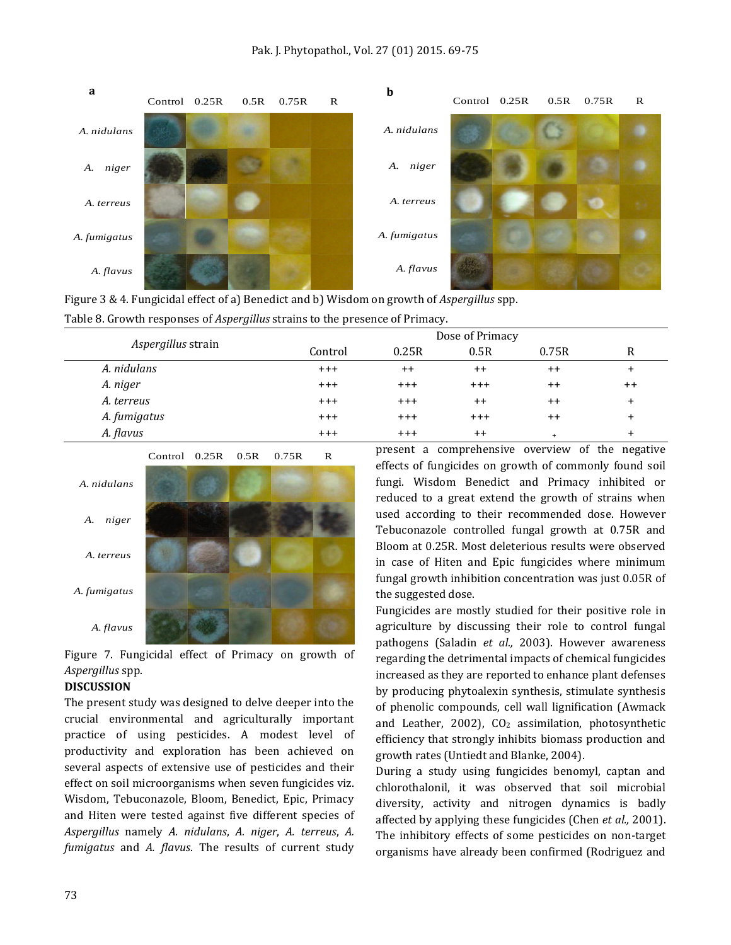

| Figure 3 & 4. Fungicidal effect of a) Benedict and b) Wisdom on growth of <i>Aspergillus</i> spp. |
|---------------------------------------------------------------------------------------------------|
| Table 8. Growth responses of <i>Aspergillus</i> strains to the presence of Primacy.               |

|                    |          |         | Dose of Primacy |       |       |
|--------------------|----------|---------|-----------------|-------|-------|
| Aspergillus strain | Control  | 0.25R   | 0.5R            | 0.75R | R     |
| A. nidulans        | $^{+++}$ | $++$    | $++$            | $++$  | +     |
| A. niger           | $+ + +$  | $+++$   | $+ + +$         | $++$  | $++$  |
| A. terreus         | $+ + +$  | $+++$   | $++$            | $++$  | $\pm$ |
| A. fumigatus       | $+ + +$  | $+ + +$ | $+ + +$         | $++$  | $\pm$ |
| A. flavus          | $+ + +$  | $+ + +$ | $++$            | $+$   | +     |



Figure 7. Fungicidal effect of Primacy on growth of *Aspergillus* spp.

#### **DISCUSSION**

The present study was designed to delve deeper into the crucial environmental and agriculturally important practice of using pesticides. A modest level of productivity and exploration has been achieved on several aspects of extensive use of pesticides and their effect on soil microorganisms when seven fungicides viz. Wisdom, Tebuconazole, Bloom, Benedict, Epic, Primacy and Hiten were tested against five different species of *Aspergillus* namely *A. nidulans*, *A. niger*, *A. terreus*, *A. fumigatus* and *A. flavus*. The results of current study

present a comprehensive overview of the negative effects of fungicides on growth of commonly found soil fungi. Wisdom Benedict and Primacy inhibited or reduced to a great extend the growth of strains when used according to their recommended dose. However Tebuconazole controlled fungal growth at 0.75R and Bloom at 0.25R. Most deleterious results were observed in case of Hiten and Epic fungicides where minimum fungal growth inhibition concentration was just 0.05R of the suggested dose.

Fungicides are mostly studied for their positive role in agriculture by discussing their role to control fungal pathogens (Saladin *et al.,* 2003). However awareness regarding the detrimental impacts of chemical fungicides increased as they are reported to enhance plant defenses by producing phytoalexin synthesis, stimulate synthesis of phenolic compounds, cell wall lignification (Awmack and Leather, 2002),  $CO<sub>2</sub>$  assimilation, photosynthetic efficiency that strongly inhibits biomass production and growth rates (Untiedt and Blanke, 2004).

During a study using fungicides benomyl, captan and chlorothalonil, it was observed that soil microbial diversity, activity and nitrogen dynamics is badly affected by applying these fungicides [\(Chen](http://www.sciencedirect.com/science/article/pii/S0038071701001316) *et al.,* 2001). The inhibitory effects of some pesticides on non-target organisms have already been confirmed (Rodriguez and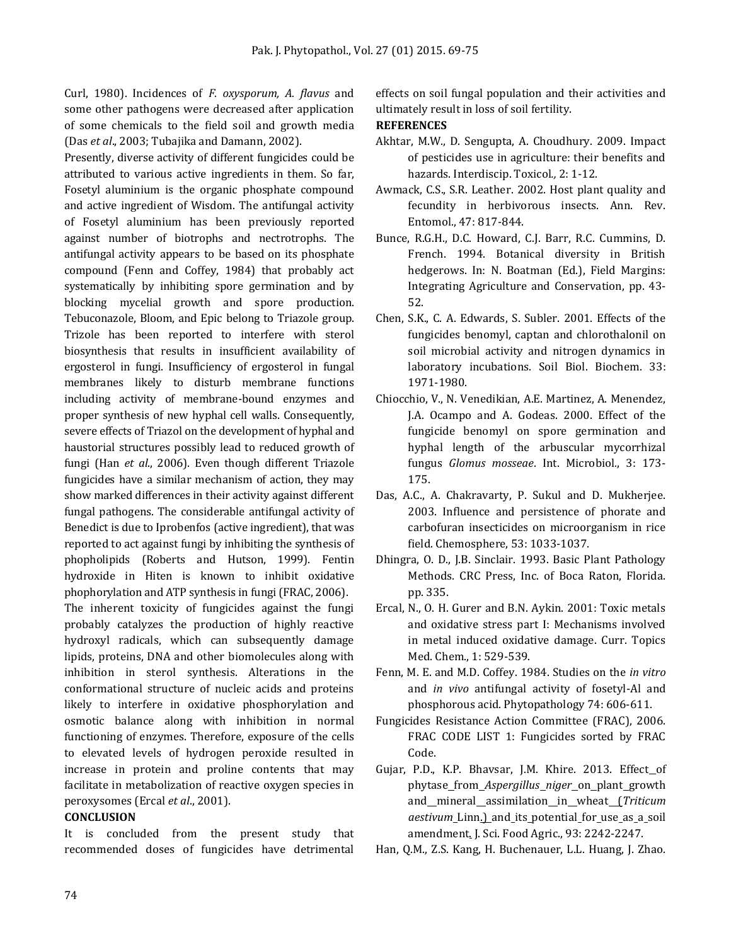Curl, 1980). Incidences of *F. oxysporum, A. flavus* and some other pathogens were decreased after application of some chemicals to the field soil and growth media (Das *et al*., 2003; Tubajika and Damann, 2002).

Presently, diverse activity of different fungicides could be attributed to various active ingredients in them. So far, Fosetyl aluminium is the organic phosphate compound and active ingredient of Wisdom. The antifungal activity of Fosetyl aluminium has been previously reported against number of biotrophs and nectrotrophs. The antifungal activity appears to be based on its phosphate compound (Fenn and Coffey, 1984) that probably act systematically by inhibiting spore germination and by blocking mycelial growth and spore production. Tebuconazole, Bloom, and Epic belong to Triazole group. Trizole has been reported to interfere with sterol biosynthesis that results in insufficient availability of ergosterol in fungi. Insufficiency of ergosterol in fungal membranes likely to disturb membrane functions including activity of membrane-bound enzymes and proper synthesis of new hyphal cell walls. Consequently, severe effects of Triazol on the development of hyphal and haustorial structures possibly lead to reduced growth of fungi (Han *et al*., 2006). Even though different Triazole fungicides have a similar mechanism of action, they may show marked differences in their activity against different fungal pathogens. The considerable antifungal activity of Benedict is due to Iprobenfos (active ingredient), that was reported to act against fungi by inhibiting the synthesis of phopholipids (Roberts and Hutson, 1999). Fentin hydroxide in Hiten is known to inhibit oxidative phophorylation and ATP synthesis in fungi (FRAC, 2006).

The inherent toxicity of fungicides against the fungi probably catalyzes the production of highly reactive hydroxyl radicals, which can subsequently damage lipids, proteins, DNA and other biomolecules along with inhibition in sterol synthesis. Alterations in the conformational structure of nucleic acids and proteins likely to interfere in oxidative phosphorylation and osmotic balance along with inhibition in normal functioning of enzymes. Therefore, exposure of the cells to elevated levels of hydrogen peroxide resulted in increase in protein and proline contents that may facilitate in metabolization of reactive oxygen species in peroxysomes (Ercal *et al*., 2001).

## **CONCLUSION**

It is concluded from the present study that recommended doses of fungicides have detrimental effects on soil fungal population and their activities and ultimately result in loss of soil fertility.

## **REFERENCES**

- Akhtar, M.W., D. Sengupta, A. Choudhury. 2009. Impact of pesticides use in agriculture: their benefits and hazards. Interdiscip. Toxicol*.,* 2: 1-12.
- Awmack, C.S., S.R. Leather. 2002. Host plant quality and fecundity in herbivorous insects. Ann. Rev. Entomol., 47: 817-844.
- Bunce, R.G.H., D.C. Howard, C.J. Barr, R.C. Cummins, D. French. 1994. Botanical diversity in British hedgerows. In: N. Boatman (Ed.), Field Margins: Integrating Agriculture and Conservation, pp. 43- 52.
- [Chen,](http://www.sciencedirect.com/science/article/pii/S0038071701001316) S.K., [C. A. Edwards, S. Subler.](http://www.sciencedirect.com/science/article/pii/S0038071701001316) 2001. Effects of the fungicides benomyl, captan and chlorothalonil on soil microbial activity and nitrogen dynamics in laboratory incubations. [Soil Biol. Biochem.](http://www.sciencedirect.com/science/journal/00380717) [33:](http://www.sciencedirect.com/science/journal/00380717/33/14) 1971-1980.
- Chiocchio, V., N. Venedikian, A.E. Martinez, A. Menendez, J.A. Ocampo and A. Godeas. 2000. Effect of the fungicide benomyl on spore germination and hyphal length of the arbuscular mycorrhizal fungus *Glomus mosseae*. Int. Microbiol*.*, 3: 173- 175.
- Das, A.C., A. Chakravarty, P. Sukul and D. Mukherjee. 2003. Influence and persistence of phorate and carbofuran insecticides on microorganism in rice field. Chemosphere, 53: 1033-1037.
- Dhingra, O. D., J.B. Sinclair. 1993. Basic Plant Pathology Methods. CRC Press, Inc. of Boca Raton, Florida. pp. 335.
- Ercal, N., O. H. Gurer and B.N. Aykin. 2001: Toxic metals and oxidative stress part I: Mechanisms involved in metal induced oxidative damage. Curr. Topics Med. Chem., 1: 529-539.
- Fenn, M. E. and M.D. Coffey. 1984. Studies on the *in vitro* and *in vivo* antifungal activity of fosetyl-Al and phosphorous acid. Phytopathology 74: 606-611.
- Fungicides Resistance Action Committee (FRAC), 2006. FRAC CODE LIST 1: Fungicides sorted by FRAC Code.
- [Gujar, P.D., K.P. Bhavsar, J.M. Khire. 2013. Effect](http://www.ncbi.nlm.nih.gov/pubmed/23355258)\_of phytase from *[Aspergillus](http://www.ncbi.nlm.nih.gov/pubmed/23355258) niger* on plant growth and mineral [assimilation](http://www.ncbi.nlm.nih.gov/pubmed/23355258) in wheat (*Triticum aestivum* [Linn.\) and](http://www.ncbi.nlm.nih.gov/pubmed/23355258) its potential for use as a soil [amendment.](http://www.ncbi.nlm.nih.gov/pubmed/23355258) J. Sci. Food Agric., 93: 2242-2247.
- Han, Q.M., Z.S. Kang, H. Buchenauer, L.L. Huang, J. Zhao.